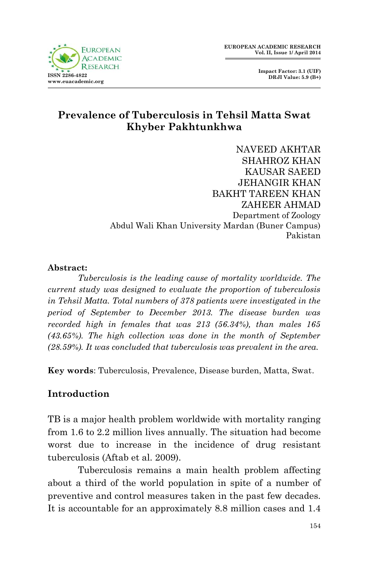

# **Prevalence of Tuberculosis in Tehsil Matta Swat Khyber Pakhtunkhwa**

NAVEED AKHTAR SHAHROZ KHAN KAUSAR SAEED JEHANGIR KHAN BAKHT TAREEN KHAN ZAHEER AHMAD Department of Zoology Abdul Wali Khan University Mardan (Buner Campus) Pakistan

#### **Abstract:**

*Tuberculosis is the leading cause of mortality worldwide. The current study was designed to evaluate the proportion of tuberculosis in Tehsil Matta. Total numbers of 378 patients were investigated in the period of September to December 2013. The disease burden was recorded high in females that was 213 (56.34%), than males 165 (43.65%). The high collection was done in the month of September (28.59%). It was concluded that tuberculosis was prevalent in the area.*

**Key words**: Tuberculosis, Prevalence, Disease burden, Matta, Swat.

### **Introduction**

TB is a major health problem worldwide with mortality ranging from 1.6 to 2.2 million lives annually. The situation had become worst due to increase in the incidence of drug resistant tuberculosis (Aftab et al. 2009).

Tuberculosis remains a main health problem affecting about a third of the world population in spite of a number of preventive and control measures taken in the past few decades. It is accountable for an approximately 8.8 million cases and 1.4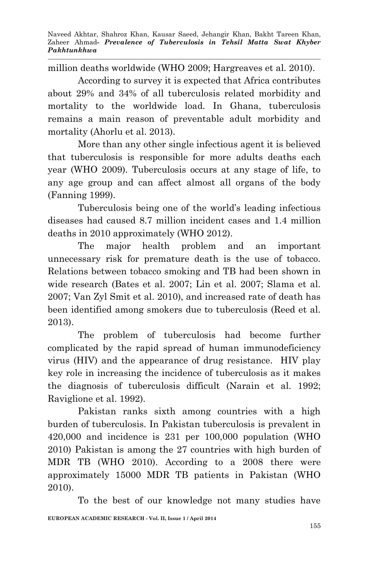million deaths worldwide (WHO 2009; Hargreaves et al. 2010).

According to survey it is expected that Africa contributes about 29% and 34% of all tuberculosis related morbidity and mortality to the worldwide load. In Ghana, tuberculosis remains a main reason of preventable adult morbidity and mortality (Ahorlu et al. 2013).

More than any other single infectious agent it is believed that tuberculosis is responsible for more adults deaths each year (WHO 2009). Tuberculosis occurs at any stage of life, to any age group and can affect almost all organs of the body (Fanning 1999).

Tuberculosis being one of the world's leading infectious diseases had caused 8.7 million incident cases and 1.4 million deaths in 2010 approximately (WHO 2012).

The major health problem and an important unnecessary risk for premature death is the use of tobacco. Relations between tobacco smoking and TB had been shown in wide research (Bates et al. 2007; Lin et al. 2007; Slama et al. 2007; Van Zyl Smit et al. 2010), and increased rate of death has been identified among smokers due to tuberculosis (Reed et al. 2013).

The problem of tuberculosis had become further complicated by the rapid spread of human immunodeficiency virus (HIV) and the appearance of drug resistance. HIV play key role in increasing the incidence of tuberculosis as it makes the diagnosis of tuberculosis difficult (Narain et al. 1992; Raviglione et al. 1992).

Pakistan ranks sixth among countries with a high burden of tuberculosis. In Pakistan tuberculosis is prevalent in 420,000 and incidence is 231 per 100,000 population (WHO 2010) Pakistan is among the 27 countries with high burden of MDR TB (WHO 2010). According to a 2008 there were approximately 15000 MDR TB patients in Pakistan (WHO 2010).

**EUROPEAN ACADEMIC RESEARCH - Vol. II, Issue 1 / April 2014** To the best of our knowledge not many studies have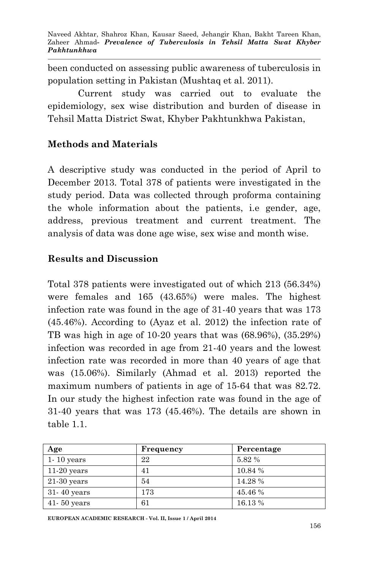been conducted on assessing public awareness of tuberculosis in population setting in Pakistan (Mushtaq et al. 2011).

Current study was carried out to evaluate the epidemiology, sex wise distribution and burden of disease in Tehsil Matta District Swat, Khyber Pakhtunkhwa Pakistan,

## **Methods and Materials**

A descriptive study was conducted in the period of April to December 2013. Total 378 of patients were investigated in the study period. Data was collected through proforma containing the whole information about the patients, i.e gender, age, address, previous treatment and current treatment. The analysis of data was done age wise, sex wise and month wise.

## **Results and Discussion**

Total 378 patients were investigated out of which 213 (56.34%) were females and 165 (43.65%) were males. The highest infection rate was found in the age of 31-40 years that was 173 (45.46%). According to (Ayaz et al. 2012) the infection rate of TB was high in age of 10-20 years that was (68.96%), (35.29%) infection was recorded in age from 21-40 years and the lowest infection rate was recorded in more than 40 years of age that was (15.06%). Similarly (Ahmad et al. 2013) reported the maximum numbers of patients in age of 15-64 that was 82.72. In our study the highest infection rate was found in the age of 31-40 years that was 173 (45.46%). The details are shown in table 1.1.

| Age             | Frequency | Percentage |
|-----------------|-----------|------------|
| $1 - 10$ years  | 22        | $5.82\ \%$ |
| $11-20$ years   | 41        | 10.84 %    |
| $21-30$ years   | 54        | 14.28%     |
| $31 - 40$ years | 173       | 45.46 %    |
| $41 - 50$ years | 61        | 16.13 %    |

**EUROPEAN ACADEMIC RESEARCH - Vol. II, Issue 1 / April 2014**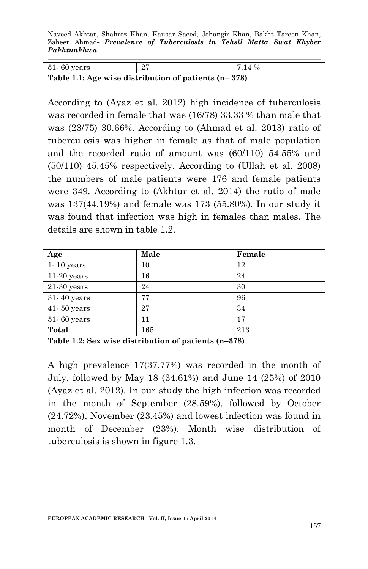Naveed Akhtar, Shahroz Khan, Kausar Saeed, Jehangir Khan, Bakht Tareen Khan, Zaheer Ahmad*- Prevalence of Tuberculosis in Tehsil Matta Swat Khyber Pakhtunkhwa*

| $51 - 60$ years                                        | -27 | 17.14% |  |
|--------------------------------------------------------|-----|--------|--|
| Table 1.1: Age wise distribution of patients $(n=378)$ |     |        |  |

 $\overline{\phantom{a}}$ 

According to (Ayaz et al. 2012) high incidence of tuberculosis was recorded in female that was (16/78) 33.33 % than male that was (23/75) 30.66%. According to (Ahmad et al. 2013) ratio of tuberculosis was higher in female as that of male population and the recorded ratio of amount was (60/110) 54.55% and (50/110) 45.45% respectively. According to (Ullah et al. 2008) the numbers of male patients were 176 and female patients were 349. According to (Akhtar et al. 2014) the ratio of male was 137(44.19%) and female was 173 (55.80%). In our study it was found that infection was high in females than males. The details are shown in table 1.2.

| Age             | Male | Female |
|-----------------|------|--------|
| $1 - 10$ years  | 10   | 12     |
| $11-20$ years   | 16   | 24     |
| $21-30$ years   | 24   | 30     |
| 31-40 years     | 77   | 96     |
| $41 - 50$ years | 27   | 34     |
| 51-60 years     | 11   | 17     |
| Total           | 165  | 213    |

**Table 1.2: Sex wise distribution of patients (n=378)**

A high prevalence 17(37.77%) was recorded in the month of July, followed by May 18 (34.61%) and June 14 (25%) of 2010 (Ayaz et al. 2012). In our study the high infection was recorded in the month of September (28.59%), followed by October (24.72%), November (23.45%) and lowest infection was found in month of December (23%). Month wise distribution of tuberculosis is shown in figure 1.3.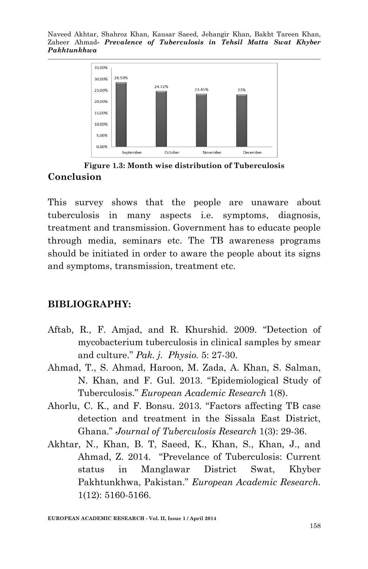Naveed Akhtar, Shahroz Khan, Kausar Saeed, Jehangir Khan, Bakht Tareen Khan, Zaheer Ahmad*- Prevalence of Tuberculosis in Tehsil Matta Swat Khyber Pakhtunkhwa*



**Figure 1.3: Month wise distribution of Tuberculosis Conclusion**

This survey shows that the people are unaware about tuberculosis in many aspects i.e. symptoms, diagnosis, treatment and transmission. Government has to educate people through media, seminars etc. The TB awareness programs should be initiated in order to aware the people about its signs and symptoms, transmission, treatment etc.

### **BIBLIOGRAPHY:**

- Aftab, R., F. Amjad, and R. Khurshid. 2009. "Detection of mycobacterium tuberculosis in clinical samples by smear and culture." *Pak. j. Physio.* 5: 27-30.
- Ahmad, T., S. Ahmad, Haroon, M. Zada, A. Khan, S. Salman, N. Khan, and F. Gul. 2013. "Epidemiological Study of Tuberculosis." *European Academic Research* 1(8).
- Ahorlu, C. K., and F. Bonsu. 2013. "Factors affecting TB case detection and treatment in the Sissala East District, Ghana." *Journal of Tuberculosis Research* 1(3): 29-36.
- Akhtar, N., Khan, B. T, Saeed, K., Khan, S., Khan, J., and Ahmad, Z. 2014. "Prevelance of Tuberculosis: Current status in Manglawar District Swat, Khyber Pakhtunkhwa, Pakistan." *European Academic Research.* 1(12): 5160-5166.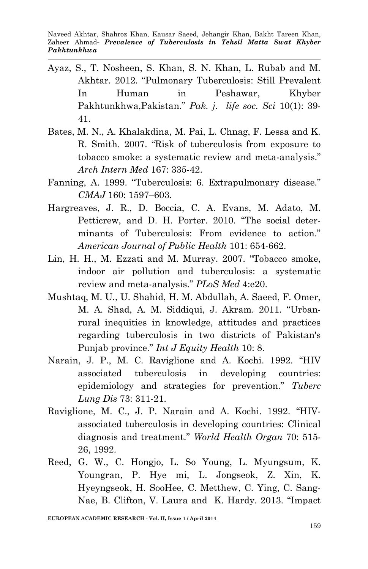Naveed Akhtar, Shahroz Khan, Kausar Saeed, Jehangir Khan, Bakht Tareen Khan, Zaheer Ahmad*- Prevalence of Tuberculosis in Tehsil Matta Swat Khyber Pakhtunkhwa*

- Ayaz, S., T. Nosheen, S. Khan, S. N. Khan, L. Rubab and M. Akhtar. 2012. "Pulmonary Tuberculosis: Still Prevalent In Human in Peshawar, Khyber Pakhtunkhwa,Pakistan." *Pak. j. life soc. Sci* 10(1): 39- 41.
- Bates, M. N., A. Khalakdina, M. Pai, L. Chnag, F. Lessa and K. R. Smith. 2007. "Risk of tuberculosis from exposure to tobacco smoke: a systematic review and meta-analysis." *Arch Intern Med* 167: 335-42.
- Fanning, A. 1999. "Tuberculosis: 6. Extrapulmonary disease." *CMAJ* 160: 1597–603.
- Hargreaves, J. R., D. Boccia, C. A. Evans, M. Adato, M. Petticrew, and D. H. Porter. 2010. "The social determinants of Tuberculosis: From evidence to action." *American Journal of Public Health* 101: 654-662.
- Lin, H. H., M. Ezzati and M. Murray. 2007. "Tobacco smoke, indoor air pollution and tuberculosis: a systematic review and meta-analysis." *PLoS Med* 4:e20.
- Mushtaq, M. U., U. Shahid, H. M. Abdullah, A. Saeed, F. Omer, M. A. Shad, A. M. Siddiqui, J. Akram. 2011. "Urbanrural inequities in knowledge, attitudes and practices regarding tuberculosis in two districts of Pakistan's Punjab province." *Int J Equity Health* 10: 8.
- Narain, J. P., M. C. Raviglione and A. Kochi. 1992. "HIV associated tuberculosis in developing countries: epidemiology and strategies for prevention." *Tuberc Lung Dis* 73: 311-21.
- Raviglione, M. C., J. P. Narain and A. Kochi. 1992. "HIVassociated tuberculosis in developing countries: Clinical diagnosis and treatment." *World Health Organ* 70: 515- 26, 1992.
- Reed, G. W., C. Hongjo, L. So Young, L. Myungsum, K. Youngran, P. Hye mi, L. Jongseok, Z. Xin, K. Hyeyngseok, H. SooHee, C. Metthew, C. Ying, C. Sang-Nae, B. Clifton, V. Laura and K. Hardy. 2013. "Impact